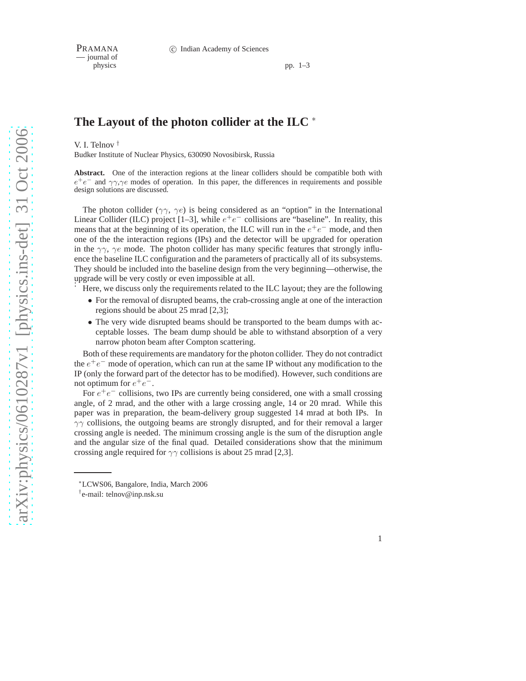— journal of

pp.  $1-3$ 

## **The Layout of the photon collider at the ILC** <sup>∗</sup>

V. I. Telnov †

Budker Institute of Nuclear Physics, 630090 Novosibirsk, Russia

**Abstract.** One of the interaction regions at the linear colliders should be compatible both with  $e^+e^-$  and  $\gamma\gamma,\gamma e$  modes of operation. In this paper, the differences in requirements and possible design solutions are discussed.

The photon collider ( $\gamma\gamma$ ,  $\gamma e$ ) is being considered as an "option" in the International Linear Collider (ILC) project [1–3], while  $e^+e^-$  collisions are "baseline". In reality, this means that at the beginning of its operation, the ILC will run in the  $e^+e^-$  mode, and then one of the the interaction regions (IPs) and the detector will be upgraded for operation in the  $\gamma\gamma$ ,  $\gamma e$  mode. The photon collider has many specific features that strongly influence the baseline ILC configuration and the parameters of practically all of its subsystems. They should be included into the baseline design from the very beginning—otherwise, the upgrade will be very costly or even impossible at all.

Here, we discuss only the requirements related to the ILC layout; they are the following

- For the removal of disrupted beams, the crab-crossing angle at one of the interaction regions should be about 25 mrad [2,3];
- The very wide disrupted beams should be transported to the beam dumps with acceptable losses. The beam dump should be able to withstand absorption of a very narrow photon beam after Compton scattering.

Both of these requirements are mandatory for the photon collider. They do not contradict the  $e^+e^-$  mode of operation, which can run at the same IP without any modification to the IP (only the forward part of the detector has to be modified). However, such conditions are not optimum for  $e^+e^-$ .

For  $e^+e^-$  collisions, two IPs are currently being considered, one with a small crossing angle, of 2 mrad, and the other with a large crossing angle, 14 or 20 mrad. While this paper was in preparation, the beam-delivery group suggested 14 mrad at both IPs. In  $\gamma\gamma$  collisions, the outgoing beams are strongly disrupted, and for their removal a larger crossing angle is needed. The minimum crossing angle is the sum of the disruption angle and the angular size of the final quad. Detailed considerations show that the minimum crossing angle required for  $\gamma\gamma$  collisions is about 25 mrad [2,3].

1

<sup>∗</sup>LCWS06, Bangalore, India, March 2006

<sup>†</sup> e-mail: telnov@inp.nsk.su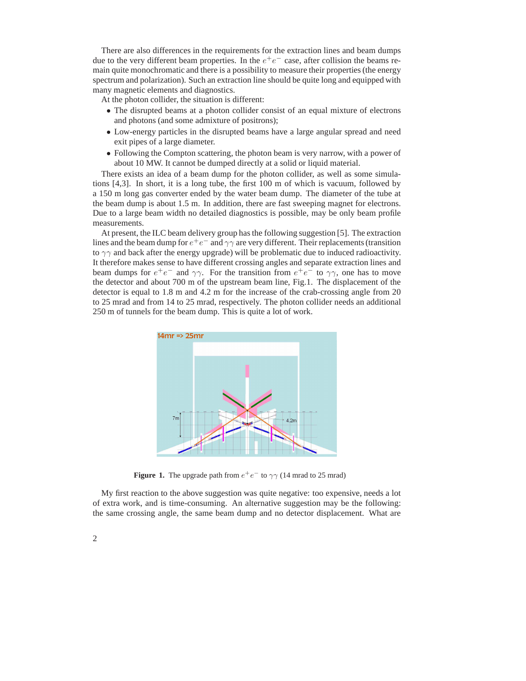There are also differences in the requirements for the extraction lines and beam dumps due to the very different beam properties. In the  $e^+e^-$  case, after collision the beams remain quite monochromatic and there is a possibility to measure their properties (the energy spectrum and polarization). Such an extraction line should be quite long and equipped with many magnetic elements and diagnostics.

At the photon collider, the situation is different:

- The disrupted beams at a photon collider consist of an equal mixture of electrons and photons (and some admixture of positrons);
- Low-energy particles in the disrupted beams have a large angular spread and need exit pipes of a large diameter.
- Following the Compton scattering, the photon beam is very narrow, with a power of about 10 MW. It cannot be dumped directly at a solid or liquid material.

There exists an idea of a beam dump for the photon collider, as well as some simulations [4,3]. In short, it is a long tube, the first 100 m of which is vacuum, followed by a 150 m long gas converter ended by the water beam dump. The diameter of the tube at the beam dump is about 1.5 m. In addition, there are fast sweeping magnet for electrons. Due to a large beam width no detailed diagnostics is possible, may be only beam profile measurements.

At present, the ILC beam delivery group has the following suggestion [5]. The extraction lines and the beam dump for  $e^+e^-$  and  $\gamma\gamma$  are very different. Their replacements (transition to  $\gamma\gamma$  and back after the energy upgrade) will be problematic due to induced radioactivity. It therefore makes sense to have different crossing angles and separate extraction lines and beam dumps for  $e^+e^-$  and  $\gamma\gamma$ . For the transition from  $e^+e^-$  to  $\gamma\gamma$ , one has to move the detector and about 700 m of the upstream beam line, Fig.1. The displacement of the detector is equal to 1.8 m and 4.2 m for the increase of the crab-crossing angle from 20 to 25 mrad and from 14 to 25 mrad, respectively. The photon collider needs an additional 250 m of tunnels for the beam dump. This is quite a lot of work.



**Figure 1.** The upgrade path from  $e^+e^-$  to  $\gamma\gamma$  (14 mrad to 25 mrad)

My first reaction to the above suggestion was quite negative: too expensive, needs a lot of extra work, and is time-consuming. An alternative suggestion may be the following: the same crossing angle, the same beam dump and no detector displacement. What are